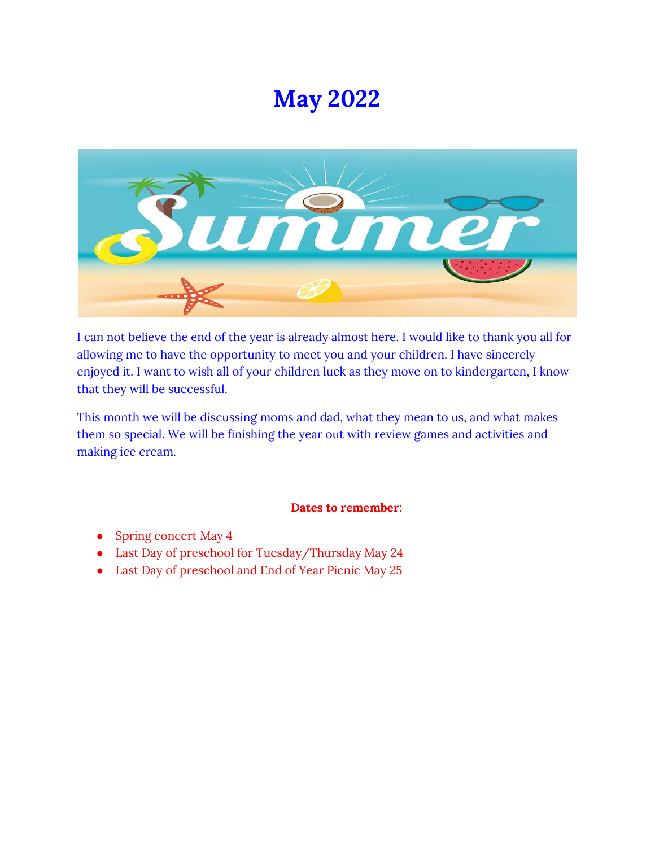# **May 2022**



I can not believe the end of the year is already almost here. I would like to thank you all for allowing me to have the opportunity to meet you and your children. I have sincerely enjoyed it. I want to wish all of your children luck as they move on to kindergarten, I know that they will be successful.

This month we will be discussing moms and dad, what they mean to us, and what makes them so special. We will be finishing the year out with review games and activities and making ice cream.

# **Dates to remember:**

- Spring concert May 4
- Last Day of preschool for Tuesday/Thursday May 24
- Last Day of preschool and End of Year Picnic May 25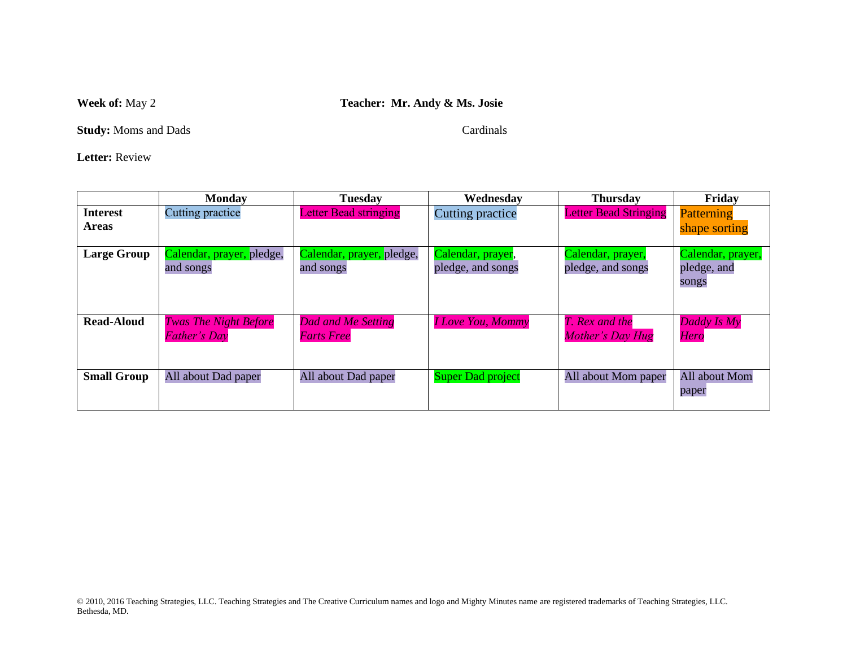## **Week of:** May 2 **Teacher: Mr. Andy & Ms. Josie**

**Study:** Moms and Dads Cardinals

**Letter:** Review

|                                 | <b>Monday</b>                                       | <b>Tuesday</b>                                 | Wednesdav                              | <b>Thursday</b>                        | Friday                                    |
|---------------------------------|-----------------------------------------------------|------------------------------------------------|----------------------------------------|----------------------------------------|-------------------------------------------|
| <b>Interest</b><br><b>Areas</b> | Cutting practice                                    | <b>Letter Bead stringing</b>                   | Cutting practice                       | <b>Letter Bead Stringing</b>           | Patterning<br>shape sorting               |
| <b>Large Group</b>              | Calendar, prayer, pledge,<br>and songs              | Calendar, prayer, pledge,<br>and songs         | Calendar, prayer,<br>pledge, and songs | Calendar, prayer,<br>pledge, and songs | Calendar, prayer,<br>pledge, and<br>songs |
| <b>Read-Aloud</b>               | <b>Twas The Night Before</b><br><b>Father's Day</b> | <b>Dad and Me Setting</b><br><b>Farts Free</b> | <b>I Love You, Mommy</b>               | T. Rex and the<br>Mother's Day Hug     | Daddy Is My<br><b>Hero</b>                |
| <b>Small Group</b>              | All about Dad paper                                 | All about Dad paper                            | <b>Super Dad project</b>               | All about Mom paper                    | All about Mom<br>paper                    |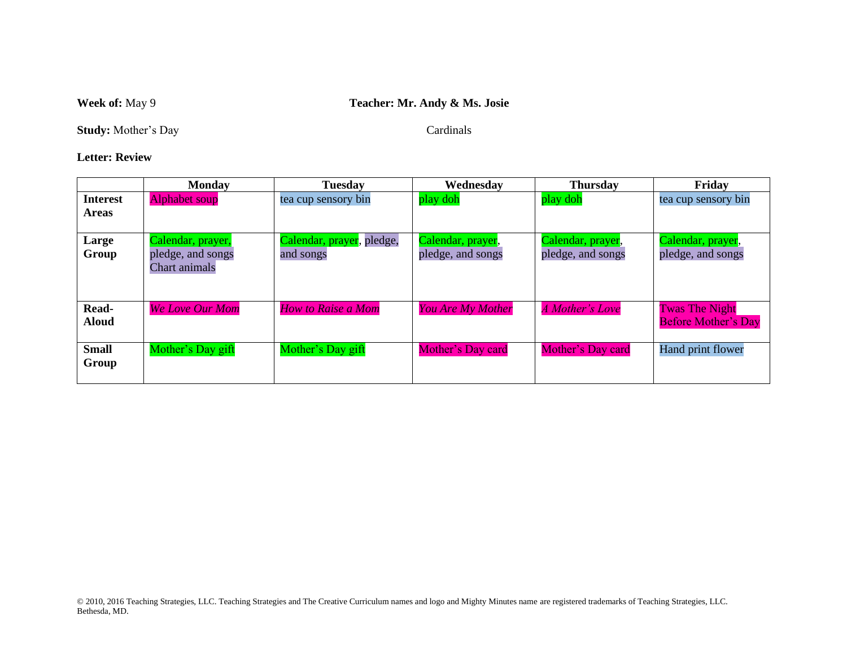# **Week of:** May 9 **Teacher: Mr. Andy & Ms. Josie**

**Study:** Mother's Day Cardinals

#### **Letter: Review**

|                                 | <b>Monday</b>                                                  | <b>Tuesday</b>                         | Wednesdav                              | <b>Thursday</b>                        | Friday                                              |
|---------------------------------|----------------------------------------------------------------|----------------------------------------|----------------------------------------|----------------------------------------|-----------------------------------------------------|
| <b>Interest</b><br><b>Areas</b> | <b>Alphabet soup</b>                                           | tea cup sensory bin                    | play doh                               | play doh                               | tea cup sensory bin                                 |
| Large<br>Group                  | Calendar, prayer,<br>pledge, and songs<br><b>Chart</b> animals | Calendar, prayer, pledge,<br>and songs | Calendar, prayer,<br>pledge, and songs | Calendar, prayer,<br>pledge, and songs | Calendar, prayer,<br>pledge, and songs              |
| Read-<br><b>Aloud</b>           | <b>We Love Our Mom</b>                                         | How to Raise a Mom                     | <b>You Are My Mother</b>               | A Mother's Love                        | <b>Twas The Night</b><br><b>Before Mother's Day</b> |
| <b>Small</b><br>Group           | Mother's Day gift                                              | Mother's Day gift                      | Mother's Day card                      | Mother's Day card                      | Hand print flower                                   |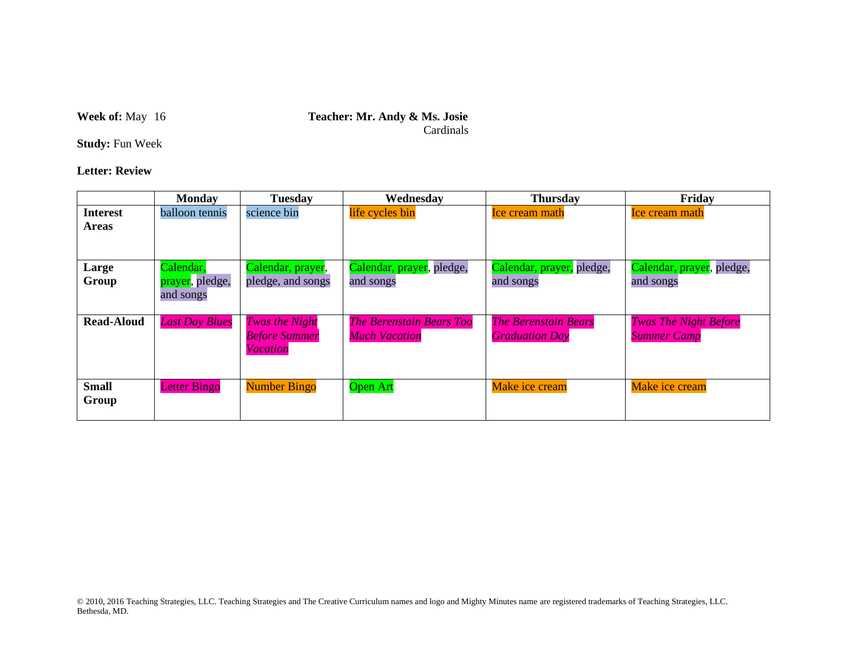#### **Week of:** May 16 **Teacher: Mr. Andy & Ms. Josie** Cardinals

**Study:** Fun Week

**Letter: Review**

|                       | <b>Monday</b>                | <b>Tuesday</b>                                            | Wednesdav                                               | <b>Thursday</b>                                      | Friday                                             |
|-----------------------|------------------------------|-----------------------------------------------------------|---------------------------------------------------------|------------------------------------------------------|----------------------------------------------------|
| <b>Interest</b>       | balloon tennis               | science bin                                               | life cycles bin                                         | <b>Ice cream math</b>                                | <b>Ice cream math</b>                              |
| <b>Areas</b>          |                              |                                                           |                                                         |                                                      |                                                    |
| Large                 | Calendar,                    | Calendar, prayer,                                         | Calendar, prayer, pledge,                               | Calendar, prayer, pledge,                            | Calendar, prayer, pledge,                          |
| Group                 | prayer, pledge,<br>and songs | pledge, and songs                                         | and songs                                               | and songs                                            | and songs                                          |
| <b>Read-Aloud</b>     | <b>Last Day Blues</b>        | Twas the Night<br><b>Before Summer</b><br><b>Vacation</b> | <b>The Berenstain Bears Too</b><br><b>Much Vacation</b> | <b>The Berenstain Bears</b><br><b>Graduation Day</b> | <b>Twas The Night Before</b><br><b>Summer Camp</b> |
| <b>Small</b><br>Group | <b>Letter Bingo</b>          | <b>Number Bingo</b>                                       | <b>Open Art</b>                                         | Make ice cream                                       | Make ice cream                                     |